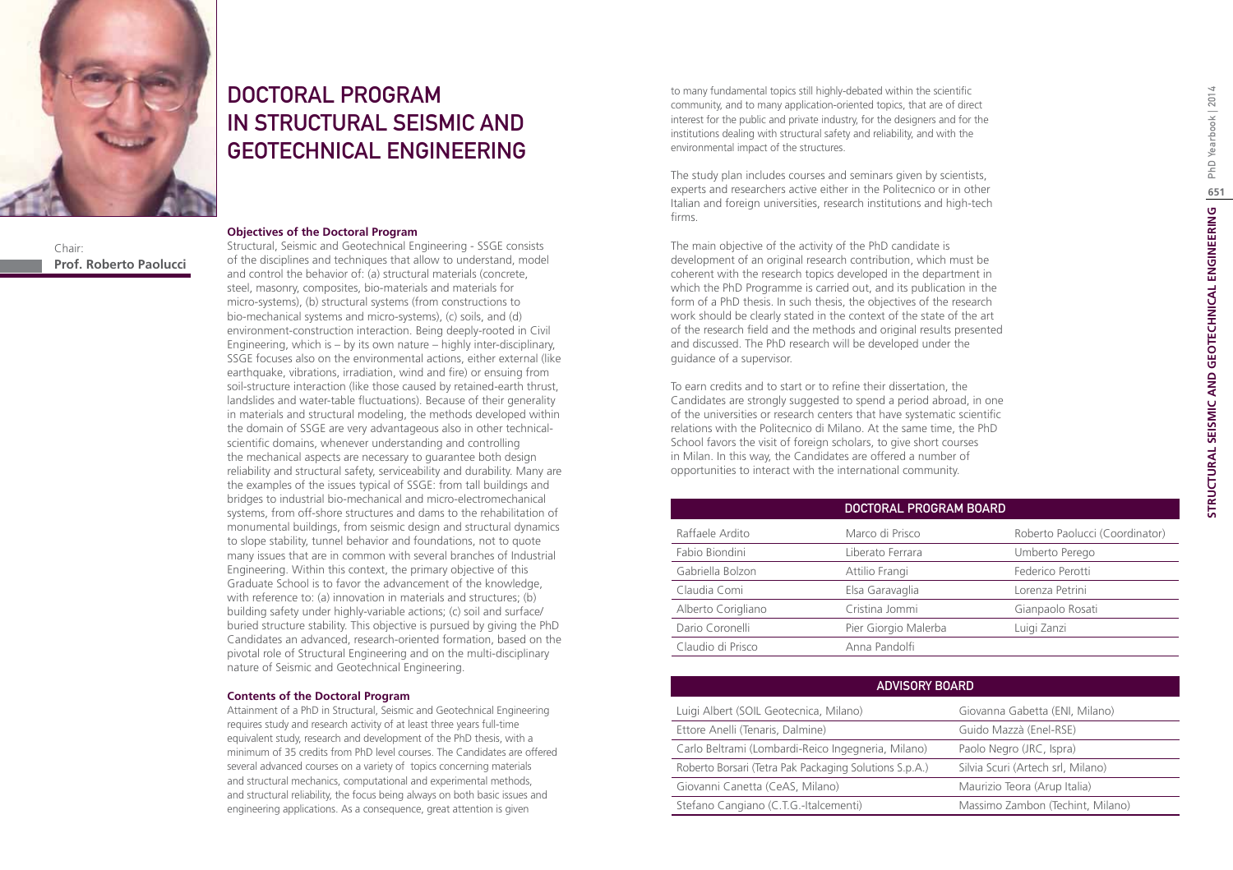

Chair: **Prof. Roberto Paolucci**

# DOCTORAL PROGRAM IN STRUCTURAL SEISMIC AND GEOTECHNICAL ENGINEERING

#### **Objectives of the Doctoral Program**

Structural, Seismic and Geotechnical Engineering - SSGE consists of the disciplines and techniques that allow to understand, model and control the behavior of: (a) structural materials (concrete, steel, masonry, composites, bio-materials and materials for micro-systems), (b) structural systems (from constructions to bio-mechanical systems and micro-systems), (c) soils, and (d) environment-construction interaction. Being deeply-rooted in Civil Engineering, which is – by its own nature – highly inter-disciplinary, SSGE focuses also on the environmental actions, either external (like earthquake, vibrations, irradiation, wind and fire) or ensuing from soil-structure interaction (like those caused by retained-earth thrust, landslides and water-table fluctuations). Because of their generality in materials and structural modeling, the methods developed within the domain of SSGE are very advantageous also in other technicalscientific domains, whenever understanding and controlling the mechanical aspects are necessary to guarantee both design reliability and structural safety, serviceability and durability. Many are the examples of the issues typical of SSGE: from tall buildings and bridges to industrial bio-mechanical and micro-electromechanical systems, from off-shore structures and dams to the rehabilitation of monumental buildings, from seismic design and structural dynamics to slope stability, tunnel behavior and foundations, not to quote many issues that are in common with several branches of Industrial Engineering. Within this context, the primary objective of this Graduate School is to favor the advancement of the knowledge, with reference to: (a) innovation in materials and structures; (b) building safety under highly-variable actions; (c) soil and surface/ buried structure stability. This objective is pursued by giving the PhD Candidates an advanced, research-oriented formation, based on the pivotal role of Structural Engineering and on the multi-disciplinary nature of Seismic and Geotechnical Engineering.

#### **Contents of the Doctoral Program**

Attainment of a PhD in Structural, Seismic and Geotechnical Engineering requires study and research activity of at least three years full-time equivalent study, research and development of the PhD thesis, with a minimum of 35 credits from PhD level courses. The Candidates are offered several advanced courses on a variety of topics concerning materials and structural mechanics, computational and experimental methods, and structural reliability, the focus being always on both basic issues and engineering applications. As a consequence, great attention is given

to many fundamental topics still highly-debated within the scientific community, and to many application-oriented topics, that are of direct interest for the public and private industry, for the designers and for the institutions dealing with structural safety and reliability, and with the environmental impact of the structures.

The study plan includes courses and seminars given by scientists, experts and researchers active either in the Politecnico or in other Italian and foreign universities, research institutions and high-tech firms.

The main objective of the activity of the PhD candidate is development of an original research contribution, which must be coherent with the research topics developed in the department in which the PhD Programme is carried out, and its publication in the form of a PhD thesis. In such thesis, the objectives of the research work should be clearly stated in the context of the state of the art of the research field and the methods and original results presented and discussed. The PhD research will be developed under the guidance of a supervisor.

To earn credits and to start or to refine their dissertation, the Candidates are strongly suggested to spend a period abroad, in one of the universities or research centers that have systematic scientific relations with the Politecnico di Milano. At the same time, the PhD School favors the visit of foreign scholars, to give short courses in Milan. In this way, the Candidates are offered a number of opportunities to interact with the international community.

|                    | DOCTORAL PROGRAM BOARD |                                |
|--------------------|------------------------|--------------------------------|
| Raffaele Ardito    | Marco di Prisco        | Roberto Paolucci (Coordinator) |
| Fabio Biondini     | Liberato Ferrara       | Umberto Perego                 |
| Gabriella Bolzon   | Attilio Frangi         | Federico Perotti               |
| Claudia Comi       | Elsa Garavaglia        | Lorenza Petrini                |
| Alberto Corigliano | Cristina Jommi         | Gianpaolo Rosati               |
| Dario Coronelli    | Pier Giorgio Malerba   | Luigi Zanzi                    |
| Claudio di Prisco  | Anna Pandolfi          |                                |

| <b>ADVISORY BOARD</b>                                  |                                   |  |
|--------------------------------------------------------|-----------------------------------|--|
| Luigi Albert (SOIL Geotecnica, Milano)                 | Giovanna Gabetta (ENI, Milano)    |  |
| Ettore Anelli (Tenaris, Dalmine)                       | Guido Mazzà (Enel-RSE)            |  |
| Carlo Beltrami (Lombardi-Reico Ingegneria, Milano)     | Paolo Negro (JRC, Ispra)          |  |
| Roberto Borsari (Tetra Pak Packaging Solutions S.p.A.) | Silvia Scuri (Artech srl, Milano) |  |
| Giovanni Canetta (CeAS, Milano)                        | Maurizio Teora (Arup Italia)      |  |
| Stefano Cangiano (C.T.G.-Italcementi)                  | Massimo Zambon (Techint, Milano)  |  |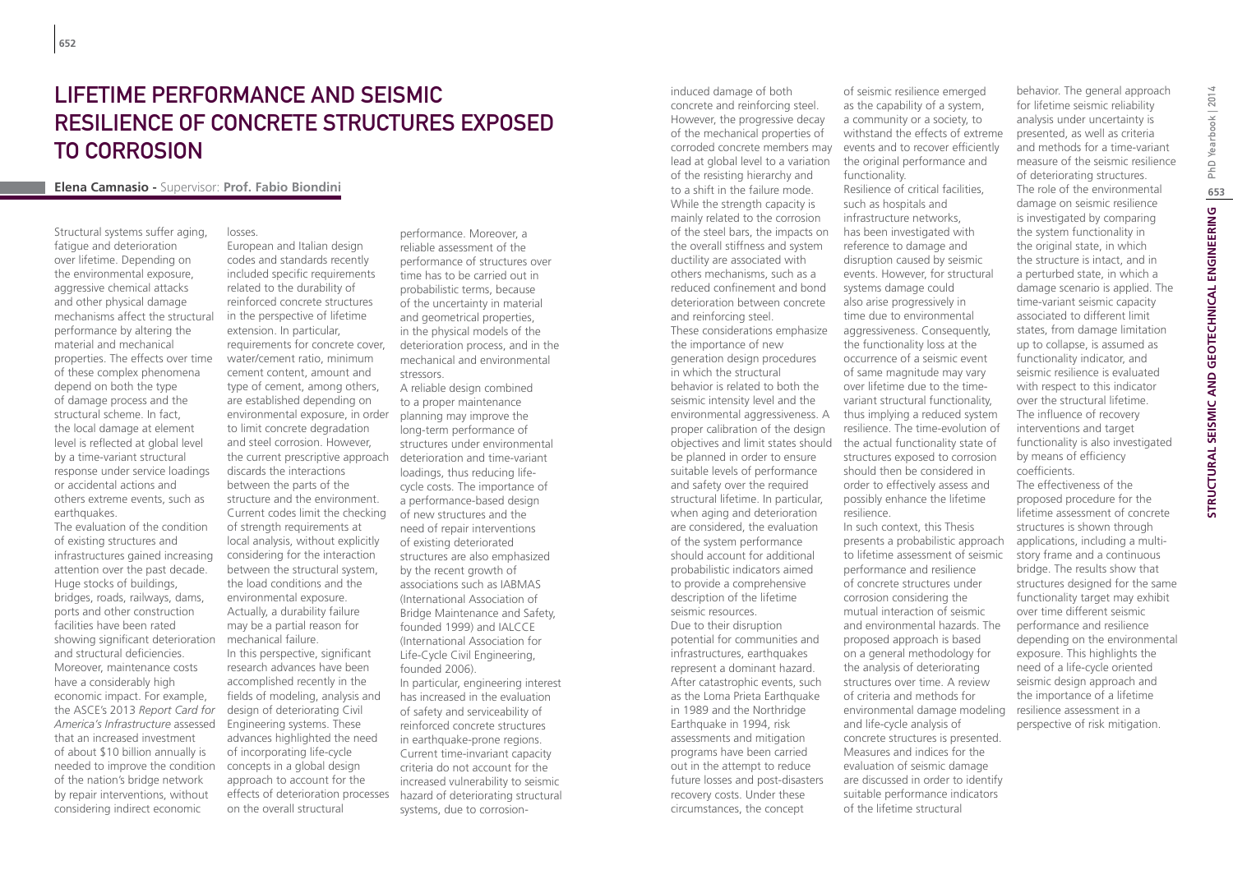# LIFETIME PERFORMANCE AND SEISMIC RESILIENCE OF CONCRETE STRUCTURES EXPOSED TO CORROSION

European and Italian design

## **Elena Camnasio -** Supervisor: **Prof. Fabio Biondini**

losses.

Structural systems suffer aging, fatigue and deterioration over lifetime. Depending on the environmental exposure, aggressive chemical attacks and other physical damage mechanisms affect the structural performance by altering the material and mechanical properties. The effects over time of these complex phenomena depend on both the type of damage process and the structural scheme. In fact, the local damage at element level is reflected at global level by a time-variant structural response under service loadings or accidental actions and others extreme events, such as earthquakes.

The evaluation of the condition of existing structures and infrastructures gained increasing attention over the past decade. Huge stocks of buildings, bridges, roads, railways, dams, ports and other construction facilities have been rated showing significant deterioration and structural deficiencies. Moreover, maintenance costs have a considerably high economic impact. For example, the ASCE's 2013 *Report Card for America's Infrastructure* assessed that an increased investment of about \$10 billion annually is needed to improve the condition of the nation's bridge network by repair interventions, without considering indirect economic

codes and standards recently included specific requirements related to the durability of reinforced concrete structures in the perspective of lifetime extension. In particular, requirements for concrete cover, water/cement ratio, minimum cement content, amount and type of cement, among others, are established depending on environmental exposure, in order to limit concrete degradation and steel corrosion. However, discards the interactions between the parts of the structure and the environment. Current codes limit the checking of strength requirements at local analysis, without explicitly considering for the interaction between the structural system, the load conditions and the environmental exposure. Actually, a durability failure may be a partial reason for mechanical failure. In this perspective, significant research advances have been accomplished recently in the fields of modeling, analysis and design of deteriorating Civil Engineering systems. These advances highlighted the need of incorporating life-cycle concepts in a global design approach to account for the effects of deterioration processes

on the overall structural

performance. Moreover, a reliable assessment of the performance of structures over time has to be carried out in probabilistic terms, because of the uncertainty in material and geometrical properties, in the physical models of the deterioration process, and in the mechanical and environmental stressors.

the current prescriptive approach deterioration and time-variant A reliable design combined to a proper maintenance planning may improve the long-term performance of structures under environmental loadings, thus reducing lifecycle costs. The importance of a performance-based design of new structures and the need of repair interventions of existing deteriorated structures are also emphasized by the recent growth of associations such as IABMAS (International Association of Bridge Maintenance and Safety, founded 1999) and IALCCE (International Association for Life-Cycle Civil Engineering, founded 2006). In particular, engineering interest has increased in the evaluation of safety and serviceability of reinforced concrete structures in earthquake-prone regions. Current time-invariant capacity criteria do not account for the increased vulnerability to seismic hazard of deteriorating structural systems, due to corrosionHowever, the progressive decay of the mechanical properties of corroded concrete members may lead at global level to a variation of the resisting hierarchy and to a shift in the failure mode. While the strength capacity is mainly related to the corrosion of the steel bars, the impacts on the overall stiffness and system ductility are associated with others mechanisms, such as a reduced confinement and bond deterioration between concrete and reinforcing steel. These considerations emphasize the importance of new generation design procedures in which the structural behavior is related to both the seismic intensity level and the environmental aggressiveness. A proper calibration of the design objectives and limit states should the actual functionality state of be planned in order to ensure suitable levels of performance and safety over the required structural lifetime. In particular, when aging and deterioration are considered, the evaluation of the system performance should account for additional probabilistic indicators aimed to provide a comprehensive description of the lifetime seismic resources. Due to their disruption potential for communities and infrastructures, earthquakes represent a dominant hazard. After catastrophic events, such as the Loma Prieta Earthquake in 1989 and the Northridge Earthquake in 1994, risk assessments and mitigation programs have been carried out in the attempt to reduce future losses and post-disasters recovery costs. Under these circumstances, the concept

induced damage of both concrete and reinforcing steel.

of seismic resilience emerged as the capability of a system, a community or a society, to withstand the effects of extreme events and to recover efficiently the original performance and functionality. Resilience of critical facilities, such as hospitals and infrastructure networks, has been investigated with reference to damage and disruption caused by seismic events. However, for structural systems damage could

also arise progressively in time due to environmental aggressiveness. Consequently, the functionality loss at the occurrence of a seismic event of same magnitude may vary over lifetime due to the timevariant structural functionality, thus implying a reduced system resilience. The time-evolution of structures exposed to corrosion should then be considered in order to effectively assess and possibly enhance the lifetime resilience.

In such context, this Thesis presents a probabilistic approach to lifetime assessment of seismic performance and resilience of concrete structures under corrosion considering the mutual interaction of seismic and environmental hazards. The proposed approach is based on a general methodology for the analysis of deteriorating structures over time. A review of criteria and methods for environmental damage modeling and life-cycle analysis of concrete structures is presented. Measures and indices for the evaluation of seismic damage are discussed in order to identify suitable performance indicators of the lifetime structural

behavior. The general approach for lifetime seismic reliability analysis under uncertainty is presented, as well as criteria and methods for a time-variant measure of the seismic resilience of deteriorating structures. The role of the environmental damage on seismic resilience is investigated by comparing the system functionality in the original state, in which the structure is intact, and in a perturbed state, in which a damage scenario is applied. The time-variant seismic capacity associated to different limit states, from damage limitation up to collapse, is assumed as functionality indicator, and seismic resilience is evaluated with respect to this indicator over the structural lifetime. The influence of recovery interventions and target functionality is also investigated by means of efficiency coefficients.

The effectiveness of the proposed procedure for the lifetime assessment of concrete structures is shown through applications, including a multistory frame and a continuous bridge. The results show that structures designed for the same functionality target may exhibit over time different seismic performance and resilience depending on the environmental exposure. This highlights the need of a life-cycle oriented seismic design approach and the importance of a lifetime resilience assessment in a perspective of risk mitigation.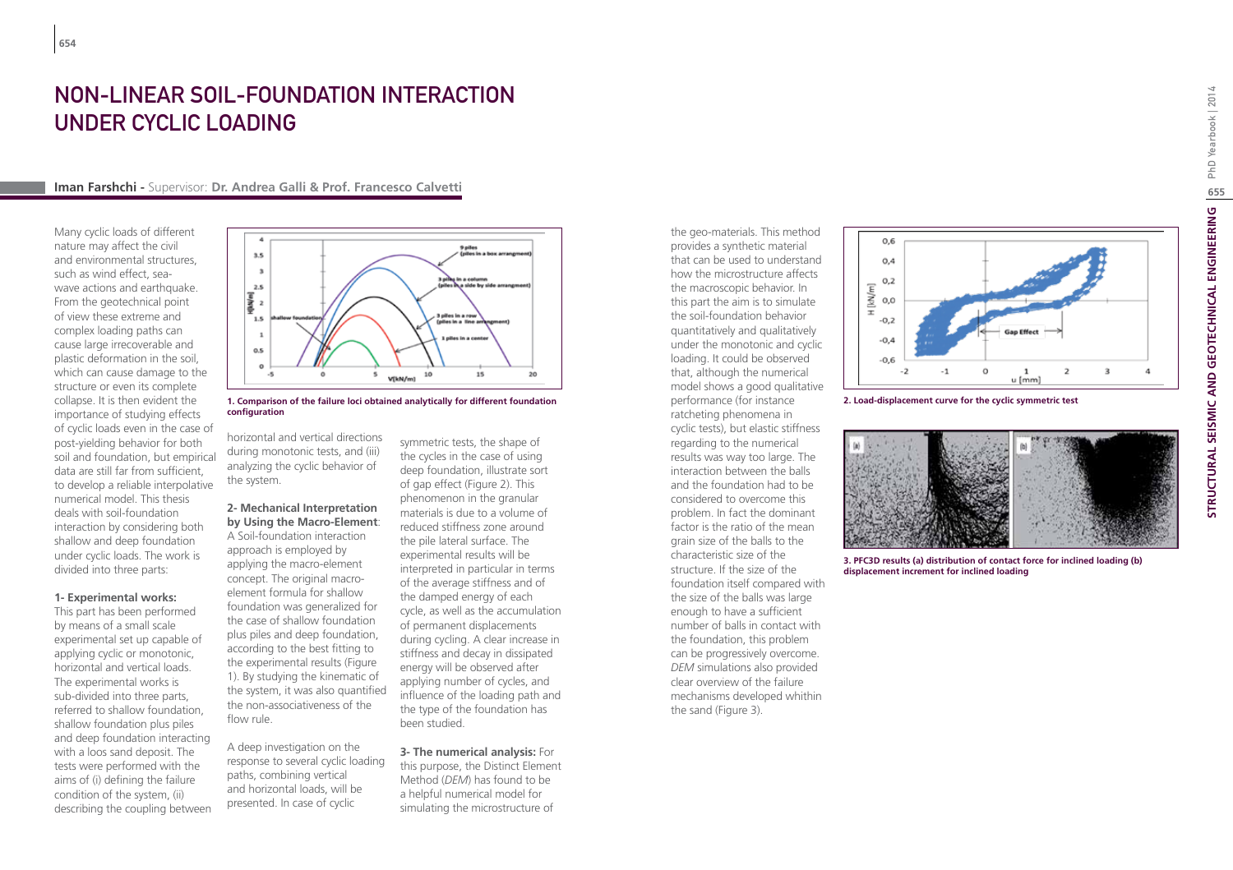## Non-Linear Soil-Foundation Interaction under Cyclic Loading

#### **Iman Farshchi -** Supervisor: **Dr. Andrea Galli & Prof. Francesco Calvetti**

Many cyclic loads of different nature may affect the civil and environmental structures, such as wind effect, seawave actions and earthquake. From the geotechnical point of view these extreme and complex loading paths can cause large irrecoverable and plastic deformation in the soil, which can cause damage to the structure or even its complete collapse. It is then evident the importance of studying effects of cyclic loads even in the case of post-yielding behavior for both soil and foundation, but empirical data are still far from sufficient, to develop a reliable interpolative numerical model. This thesis deals with soil-foundation interaction by considering both shallow and deep foundation under cyclic loads. The work is divided into three parts:

#### **1- Experimental works:**

This part has been performed by means of a small scale experimental set up capable of applying cyclic or monotonic, horizontal and vertical loads. The experimental works is sub-divided into three parts, referred to shallow foundation, shallow foundation plus piles and deep foundation interacting with a loos sand deposit. The tests were performed with the aims of (i) defining the failure condition of the system, (ii) describing the coupling between



**1. Comparison of the failure loci obtained analytically for different foundation configuration**

horizontal and vertical directions during monotonic tests, and (iii) analyzing the cyclic behavior of the system.

## **2- Mechanical Interpretation by Using the Macro-Element**:

A Soil-foundation interaction approach is employed by applying the macro-element concept. The original macroelement formula for shallow foundation was generalized for the case of shallow foundation plus piles and deep foundation, according to the best fitting to the experimental results (Figure 1). By studying the kinematic of the system, it was also quantified the non-associativeness of the flow rule.

A deep investigation on the response to several cyclic loading paths, combining vertical and horizontal loads, will be presented. In case of cyclic

symmetric tests, the shape of the cycles in the case of using deep foundation, illustrate sort of gap effect (Figure 2). This phenomenon in the granular materials is due to a volume of reduced stiffness zone around the pile lateral surface. The experimental results will be interpreted in particular in terms of the average stiffness and of the damped energy of each cycle, as well as the accumulation of permanent displacements during cycling. A clear increase in stiffness and decay in dissipated energy will be observed after applying number of cycles, and influence of the loading path and the type of the foundation has been studied.

**3- The numerical analysis:** For this purpose, the Distinct Element Method (*DEM*) has found to be a helpful numerical model for simulating the microstructure of

the geo-materials. This method provides a synthetic material that can be used to understand how the microstructure affects the macroscopic behavior. In this part the aim is to simulate the soil-foundation behavior quantitatively and qualitatively under the monotonic and cyclic loading. It could be observed that, although the numerical model shows a good qualitative performance (for instance ratcheting phenomena in cyclic tests), but elastic stiffness regarding to the numerical results was way too large. The interaction between the balls and the foundation had to be considered to overcome this problem. In fact the dominant factor is the ratio of the mean grain size of the balls to the characteristic size of the structure. If the size of the foundation itself compared with the size of the balls was large enough to have a sufficient number of balls in contact with the foundation, this problem can be progressively overcome. *DEM* simulations also provided clear overview of the failure mechanisms developed whithin the sand (Figure 3).



**2. Load-displacement curve for the cyclic symmetric test**



**3. PFC3D results (a) distribution of contact force for inclined loading (b) displacement increment for inclined loading**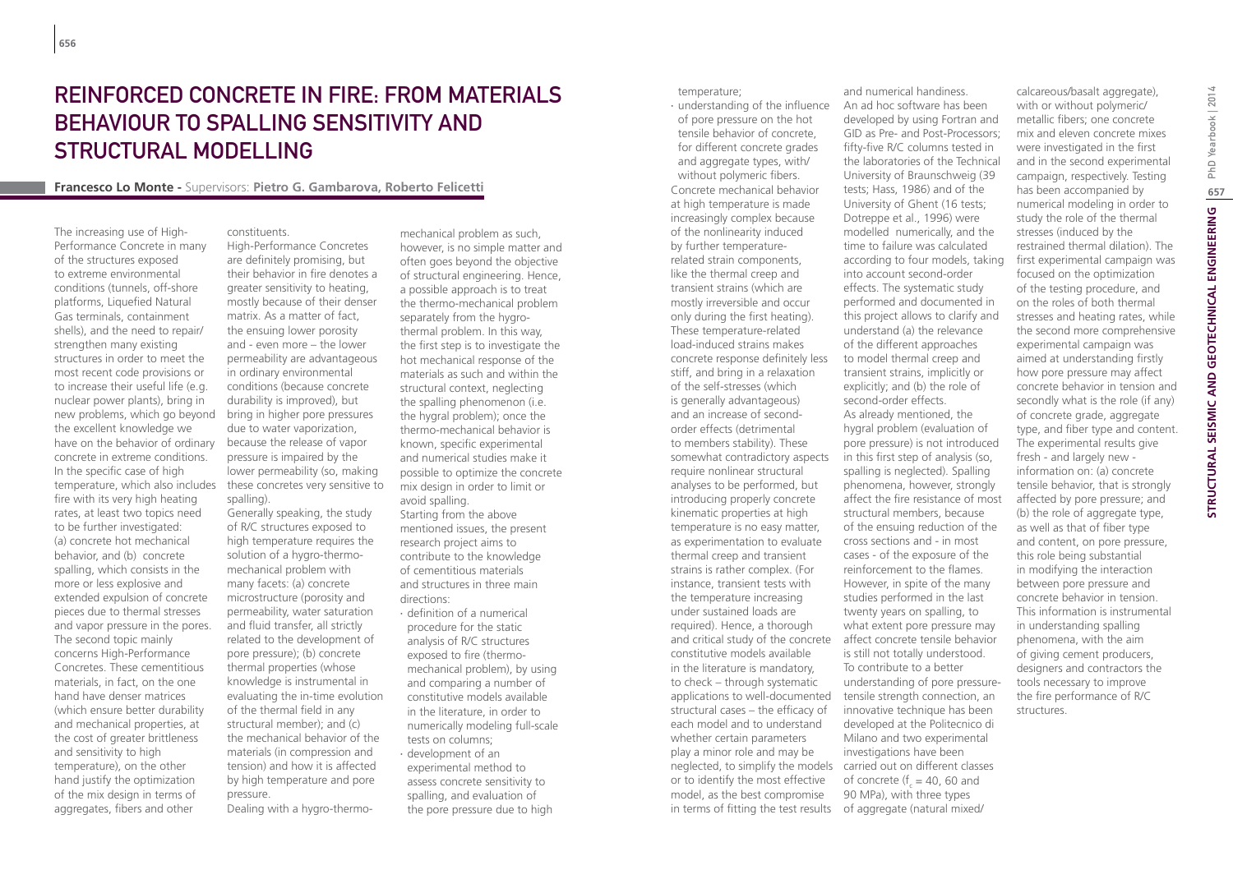# Reinforced Concrete in Fire: from Materials Behaviour to Spalling Sensitivity and Structural Modelling

## **Francesco Lo Monte -** Supervisors: **Pietro G. Gambarova, Roberto Felicetti**

The increasing use of High-Performance Concrete in many of the structures exposed to extreme environmental conditions (tunnels, off-shore platforms, Liquefied Natural Gas terminals, containment shells), and the need to repair/ strengthen many existing structures in order to meet the most recent code provisions or to increase their useful life (e.g. nuclear power plants), bring in new problems, which go beyond bring in higher pore pressures the excellent knowledge we have on the behavior of ordinary concrete in extreme conditions. In the specific case of high temperature, which also includes fire with its very high heating rates, at least two topics need to be further investigated: (a) concrete hot mechanical behavior, and (b) concrete spalling, which consists in the more or less explosive and extended expulsion of concrete pieces due to thermal stresses and vapor pressure in the pores. The second topic mainly concerns High-Performance Concretes. These cementitious materials, in fact, on the one hand have denser matrices (which ensure better durability and mechanical properties, at the cost of greater brittleness and sensitivity to high temperature), on the other hand justify the optimization of the mix design in terms of aggregates, fibers and other

constituents. High-Performance Concretes are definitely promising, but their behavior in fire denotes a greater sensitivity to heating, mostly because of their denser matrix. As a matter of fact, the ensuing lower porosity and - even more – the lower permeability are advantageous in ordinary environmental conditions (because concrete durability is improved), but due to water vaporization, because the release of vapor pressure is impaired by the lower permeability (so, making these concretes very sensitive to spalling).

Generally speaking, the study of R/C structures exposed to high temperature requires the solution of a hygro-thermomechanical problem with many facets: (a) concrete microstructure (porosity and permeability, water saturation and fluid transfer, all strictly related to the development of pore pressure); (b) concrete thermal properties (whose knowledge is instrumental in evaluating the in-time evolution of the thermal field in any structural member); and (c) the mechanical behavior of the materials (in compression and tension) and how it is affected by high temperature and pore pressure.

Dealing with a hygro-thermo-

mechanical problem as such, however, is no simple matter and often goes beyond the objective of structural engineering. Hence, a possible approach is to treat the thermo-mechanical problem separately from the hygrothermal problem. In this way, the first step is to investigate the hot mechanical response of the materials as such and within the structural context, neglecting the spalling phenomenon (i.e. the hygral problem); once the thermo-mechanical behavior is known, specific experimental and numerical studies make it possible to optimize the concrete mix design in order to limit or avoid spalling. Starting from the above mentioned issues, the present research project aims to contribute to the knowledge of cementitious materials and structures in three main directions:

- ∙ definition of a numerical procedure for the static analysis of R/C structures exposed to fire (thermomechanical problem), by using and comparing a number of constitutive models available in the literature, in order to numerically modeling full-scale tests on columns;
- ∙ development of an experimental method to assess concrete sensitivity to spalling, and evaluation of the pore pressure due to high

temperature;

∙ understanding of the influence of pore pressure on the hot tensile behavior of concrete, for different concrete grades and aggregate types, with/ without polymeric fibers. Concrete mechanical behavior at high temperature is made increasingly complex because of the nonlinearity induced by further temperaturerelated strain components, like the thermal creep and transient strains (which are mostly irreversible and occur only during the first heating). These temperature-related load-induced strains makes concrete response definitely less stiff, and bring in a relaxation of the self-stresses (which is generally advantageous) and an increase of secondorder effects (detrimental to members stability). These somewhat contradictory aspects require nonlinear structural analyses to be performed, but introducing properly concrete kinematic properties at high temperature is no easy matter, as experimentation to evaluate thermal creep and transient strains is rather complex. (For instance, transient tests with the temperature increasing under sustained loads are required). Hence, a thorough and critical study of the concrete affect concrete tensile behavior constitutive models available in the literature is mandatory, to check – through systematic applications to well-documented structural cases – the efficacy of each model and to understand whether certain parameters play a minor role and may be neglected, to simplify the models carried out on different classes or to identify the most effective model, as the best compromise in terms of fitting the test results

An ad hoc software has been developed by using Fortran and GID as Pre- and Post-Processors; fifty-five R/C columns tested in the laboratories of the Technical University of Braunschweig (39 tests; Hass, 1986) and of the University of Ghent (16 tests; Dotreppe et al., 1996) were modelled numerically, and the time to failure was calculated according to four models, taking into account second-order effects. The systematic study performed and documented in this project allows to clarify and understand (a) the relevance of the different approaches to model thermal creep and transient strains, implicitly or explicitly; and (b) the role of second-order effects. As already mentioned, the hygral problem (evaluation of pore pressure) is not introduced in this first step of analysis (so, spalling is neglected). Spalling phenomena, however, strongly affect the fire resistance of most structural members, because of the ensuing reduction of the cross sections and - in most cases - of the exposure of the reinforcement to the flames. However, in spite of the many studies performed in the last twenty years on spalling, to what extent pore pressure may is still not totally understood. To contribute to a better understanding of pore pressuretensile strength connection, an innovative technique has been developed at the Politecnico di Milano and two experimental investigations have been of concrete ( $f_c = 40$ , 60 and 90 MPa), with three types of aggregate (natural mixed/

and numerical handiness.

calcareous/basalt aggregate), with or without polymeric/ metallic fibers; one concrete mix and eleven concrete mixes were investigated in the first and in the second experimental campaign, respectively. Testing has been accompanied by numerical modeling in order to study the role of the thermal stresses (induced by the restrained thermal dilation). The first experimental campaign was focused on the optimization of the testing procedure, and on the roles of both thermal stresses and heating rates, while the second more comprehensive experimental campaign was aimed at understanding firstly how pore pressure may affect concrete behavior in tension and secondly what is the role (if any) of concrete grade, aggregate type, and fiber type and content. The experimental results give fresh - and largely new information on: (a) concrete tensile behavior, that is strongly affected by pore pressure; and (b) the role of aggregate type, as well as that of fiber type and content, on pore pressure, this role being substantial in modifying the interaction between pore pressure and concrete behavior in tension. This information is instrumental in understanding spalling phenomena, with the aim of giving cement producers, designers and contractors the tools necessary to improve the fire performance of R/C structures.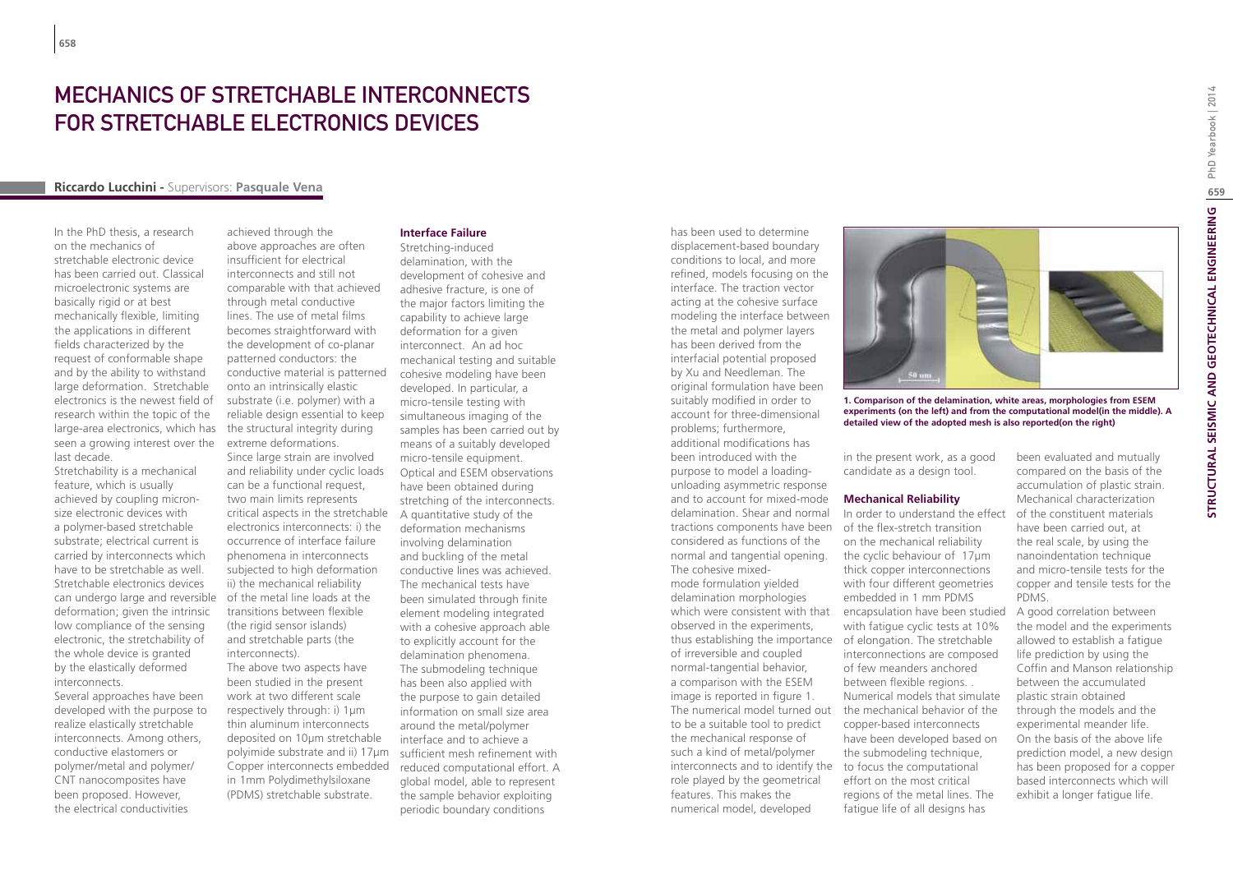# MECHANICS OF STRETCHABLE INTERCONNECTS for stretchable electronics devices

## **Riccardo Lucchini -** Supervisors: **Pasquale Vena**

In the PhD thesis, a research on the mechanics of stretchable electronic device has been carried out. Classical microelectronic systems are basically rigid or at best mechanically flexible, limiting the applications in different fields characterized by the request of conformable shape and by the ability to withstand large deformation. Stretchable electronics is the newest field of research within the topic of the large-area electronics, which has seen a growing interest over the last decade.

Stretchability is a mechanical feature, which is usually achieved by coupling micronsize electronic devices with a polymer-based stretchable substrate; electrical current is carried by interconnects which have to be stretchable as well. Stretchable electronics devices can undergo large and reversible deformation; given the intrinsic low compliance of the sensing electronic, the stretchability of the whole device is granted by the elastically deformed interconnects.

Several approaches have been developed with the purpose to realize elastically stretchable interconnects. Among others, conductive elastomers or polymer/metal and polymer/ CNT nanocomposites have been proposed. However, the electrical conductivities

achieved through the above approaches are often insufficient for electrical interconnects and still not comparable with that achieved through metal conductive lines. The use of metal films becomes straightforward with the development of co-planar patterned conductors: the conductive material is patterned onto an intrinsically elastic substrate (i.e. polymer) with a reliable design essential to keep the structural integrity during extreme deformations.

Since large strain are involved and reliability under cyclic loads can be a functional request, two main limits represents critical aspects in the stretchable electronics interconnects: i) the occurrence of interface failure phenomena in interconnects subjected to high deformation ii) the mechanical reliability of the metal line loads at the transitions between flexible (the rigid sensor islands) and stretchable parts (the interconnects).

The above two aspects have been studied in the present work at two different scale respectively through: i) 1µm thin aluminum interconnects deposited on 10µm stretchable polyimide substrate and ii) 17µm Copper interconnects embedded in 1mm Polydimethylsiloxane (PDMS) stretchable substrate.

## **Interface Failure**

Stretching-induced delamination, with the development of cohesive and adhesive fracture, is one of the major factors limiting the capability to achieve large deformation for a given interconnect. An ad hoc mechanical testing and suitable cohesive modeling have been developed. In particular, a micro-tensile testing with simultaneous imaging of the samples has been carried out by means of a suitably developed micro-tensile equipment. Optical and ESEM observations have been obtained during stretching of the interconnects. A quantitative study of the deformation mechanisms involving delamination and buckling of the metal conductive lines was achieved. The mechanical tests have been simulated through finite element modeling integrated with a cohesive approach able to explicitly account for the delamination phenomena. The submodeling technique has been also applied with the purpose to gain detailed information on small size area around the metal/polymer interface and to achieve a sufficient mesh refinement with reduced computational effort. A global model, able to represent the sample behavior exploiting periodic boundary conditions

displacement-based boundary conditions to local, and more refined, models focusing on the interface. The traction vector acting at the cohesive surface modeling the interface between the metal and polymer layers has been derived from the interfacial potential proposed by Xu and Needleman. The original formulation have been suitably modified in order to account for three-dimensional problems; furthermore, additional modifications has been introduced with the purpose to model a loadingunloading asymmetric response and to account for mixed-mode delamination. Shear and normal tractions components have been of the flex-stretch transition considered as functions of the normal and tangential opening. The cohesive mixedmode formulation yielded delamination morphologies observed in the experiments, thus establishing the importance of elongation. The stretchable of irreversible and coupled normal-tangential behavior, a comparison with the ESEM image is reported in figure 1. to be a suitable tool to predict the mechanical response of such a kind of metal/polymer interconnects and to identify the role played by the geometrical features. This makes the numerical model, developed

has been used to determine



**1. Comparison of the delamination, white areas, morphologies from ESEM experiments (on the left) and from the computational model(in the middle). A detailed view of the adopted mesh is also reported(on the right)**

in the present work, as a good candidate as a design tool.

#### **Mechanical Reliability**

which were consistent with that encapsulation have been studied The numerical model turned out the mechanical behavior of the In order to understand the effect on the mechanical reliability the cyclic behaviour of 17μm thick copper interconnections with four different geometries embedded in 1 mm PDMS with fatigue cyclic tests at 10% interconnections are composed of few meanders anchored between flexible regions. . Numerical models that simulate copper-based interconnects have been developed based on the submodeling technique, to focus the computational effort on the most critical regions of the metal lines. The fatigue life of all designs has

been evaluated and mutually compared on the basis of the accumulation of plastic strain. Mechanical characterization of the constituent materials have been carried out, at the real scale, by using the nanoindentation technique and micro-tensile tests for the copper and tensile tests for the PDMS.

A good correlation between the model and the experiments allowed to establish a fatigue life prediction by using the Coffin and Manson relationship between the accumulated plastic strain obtained through the models and the experimental meander life. On the basis of the above life prediction model, a new design has been proposed for a copper based interconnects which will exhibit a longer fatigue life.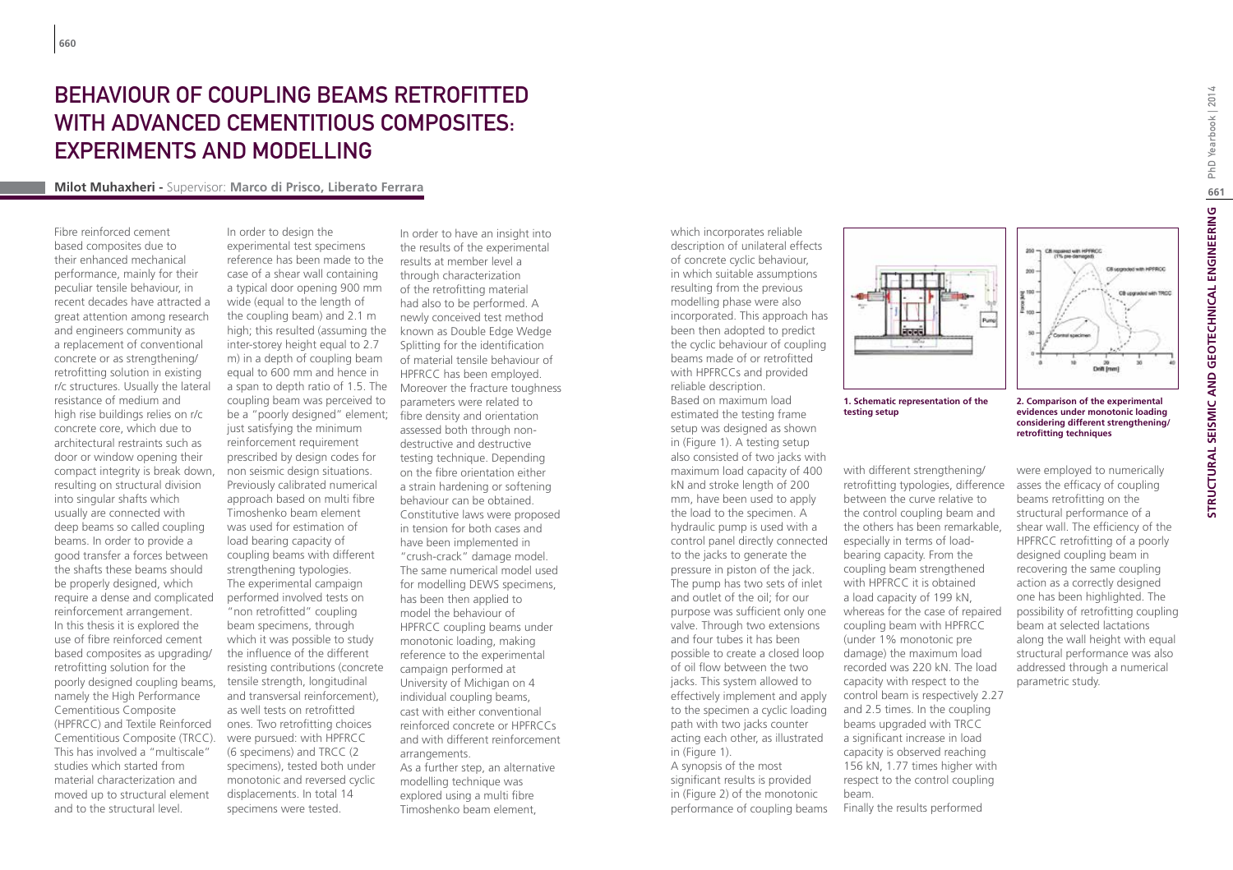# Behaviour of Coupling Beams Retrofitted WITH ADVANCED CEMENTITIOUS COMPOSITES: Experiments and Modelling

#### **Milot Muhaxheri -** Supervisor: **Marco di Prisco, Liberato Ferrara**

Fibre reinforced cement based composites due to their enhanced mechanical performance, mainly for their peculiar tensile behaviour, in recent decades have attracted a great attention among research and engineers community as a replacement of conventional concrete or as strengthening/ retrofitting solution in existing r/c structures. Usually the lateral resistance of medium and high rise buildings relies on r/c concrete core, which due to architectural restraints such as door or window opening their compact integrity is break down, resulting on structural division into singular shafts which usually are connected with deep beams so called coupling beams. In order to provide a good transfer a forces between the shafts these beams should be properly designed, which require a dense and complicated reinforcement arrangement. In this thesis it is explored the use of fibre reinforced cement based composites as upgrading/ retrofitting solution for the poorly designed coupling beams, namely the High Performance Cementitious Composite (HPFRCC) and Textile Reinforced Cementitious Composite (TRCC). This has involved a "multiscale" studies which started from material characterization and moved up to structural element and to the structural level.

In order to design the experimental test specimens reference has been made to the case of a shear wall containing a typical door opening 900 mm wide (equal to the length of the coupling beam) and 2.1 m high; this resulted (assuming the inter-storey height equal to 2.7 m) in a depth of coupling beam equal to 600 mm and hence in a span to depth ratio of 1.5. The coupling beam was perceived to be a "poorly designed" element; just satisfying the minimum reinforcement requirement prescribed by design codes for non seismic design situations. Previously calibrated numerical approach based on multi fibre Timoshenko beam element was used for estimation of load bearing capacity of coupling beams with different strengthening typologies. The experimental campaign performed involved tests on "non retrofitted" coupling beam specimens, through which it was possible to study the influence of the different resisting contributions (concrete tensile strength, longitudinal and transversal reinforcement), as well tests on retrofitted ones. Two retrofitting choices were pursued: with HPFRCC (6 specimens) and TRCC (2 specimens), tested both under monotonic and reversed cyclic displacements. In total 14 specimens were tested.

In order to have an insight into the results of the experimental results at member level a through characterization of the retrofitting material had also to be performed. A newly conceived test method known as Double Edge Wedge Splitting for the identification of material tensile behaviour of HPFRCC has been employed. Moreover the fracture toughness parameters were related to fibre density and orientation assessed both through nondestructive and destructive testing technique. Depending on the fibre orientation either a strain hardening or softening behaviour can be obtained. Constitutive laws were proposed in tension for both cases and have been implemented in "crush-crack" damage model. The same numerical model used for modelling DEWS specimens, has been then applied to model the behaviour of HPFRCC coupling beams under monotonic loading, making reference to the experimental campaign performed at University of Michigan on 4 individual coupling beams, cast with either conventional reinforced concrete or HPFRCCs and with different reinforcement arrangements. As a further step, an alternative modelling technique was

explored using a multi fibre Timoshenko beam element, which incorporates reliable description of unilateral effects of concrete cyclic behaviour, in which suitable assumptions resulting from the previous modelling phase were also incorporated. This approach has been then adopted to predict the cyclic behaviour of coupling beams made of or retrofitted with HPFRCCs and provided reliable description. Based on maximum load estimated the testing frame setup was designed as shown in (Figure 1). A testing setup also consisted of two jacks with maximum load capacity of 400 kN and stroke length of 200 mm, have been used to apply the load to the specimen. A hydraulic pump is used with a control panel directly connected to the jacks to generate the pressure in piston of the jack. The pump has two sets of inlet and outlet of the oil; for our purpose was sufficient only one valve. Through two extensions and four tubes it has been possible to create a closed loop of oil flow between the two jacks. This system allowed to effectively implement and apply to the specimen a cyclic loading path with two jacks counter acting each other, as illustrated in (Figure 1). A synopsis of the most significant results is provided





#### **1. Schematic representation of the testing setup**

with different strengthening/ retrofitting typologies, difference between the curve relative to the control coupling beam and the others has been remarkable, especially in terms of loadbearing capacity. From the coupling beam strengthened with HPFRCC it is obtained a load capacity of 199 kN, whereas for the case of repaired coupling beam with HPFRCC (under 1% monotonic pre damage) the maximum load recorded was 220 kN. The load capacity with respect to the control beam is respectively 2.27 and 2.5 times. In the coupling beams upgraded with TRCC a significant increase in load capacity is observed reaching 156 kN, 1.77 times higher with respect to the control coupling beam. Finally the results performed

#### **2. Comparison of the experimental evidences under monotonic loading considering different strengthening/ retrofitting techniques**

20<br>Dvift (men)

CB repared with HPFRCC

Citizensheimth HPPRCC

CB cognidad with TRCC

were employed to numerically asses the efficacy of coupling beams retrofitting on the structural performance of a shear wall. The efficiency of the HPFRCC retrofitting of a poorly designed coupling beam in recovering the same coupling action as a correctly designed one has been highlighted. The possibility of retrofitting coupling beam at selected lactations along the wall height with equal structural performance was also addressed through a numerical parametric study.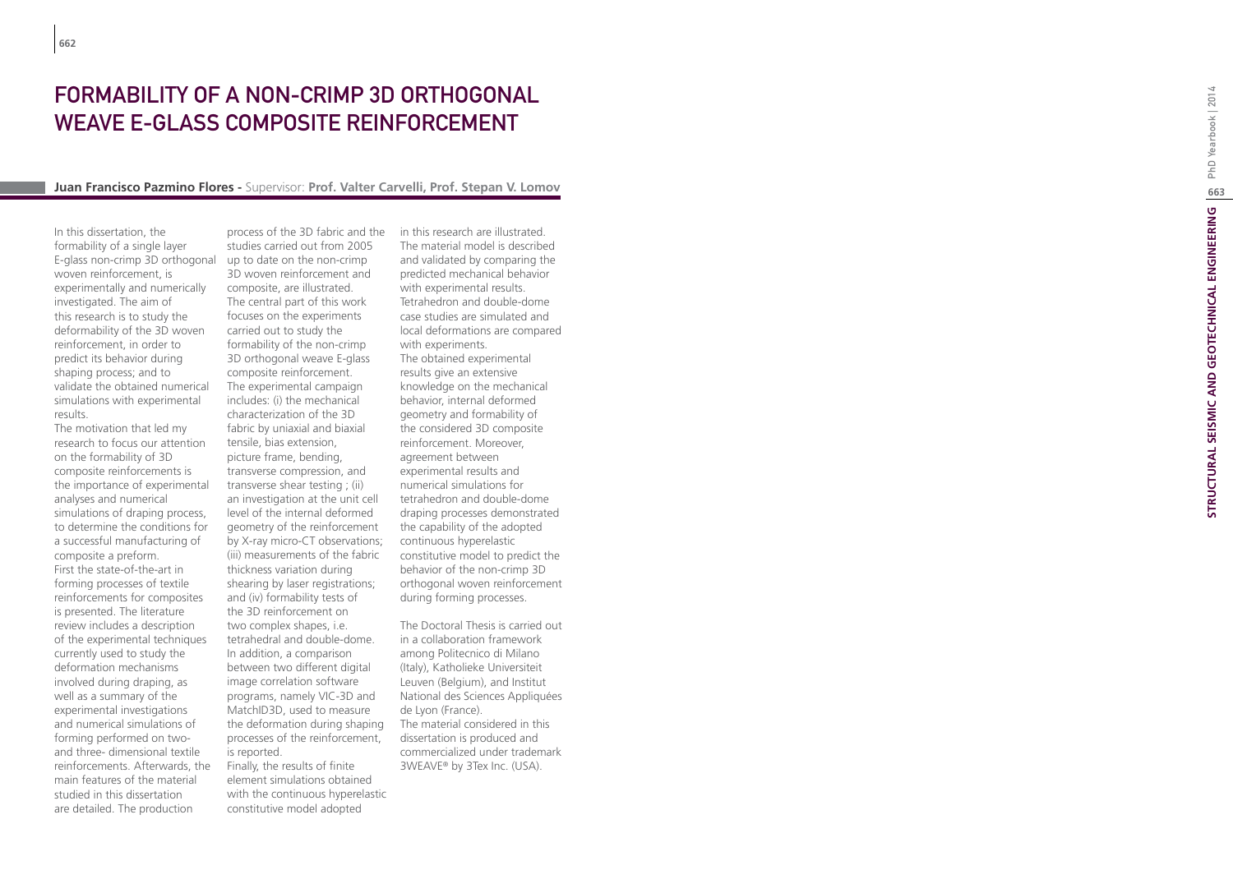# FORMABILITY OF A NON-CRIMP 3D ORTHOGONAL WEAVE E-GLASS COMPOSITE REINFORCEMENT

#### **Juan Francisco Pazmino Flores -** Supervisor: **Prof. Valter Carvelli, Prof. Stepan V. Lomov**

In this dissertation, the formability of a single layer E-glass non-crimp 3D orthogonal woven reinforcement, is experimentally and numerically investigated. The aim of this research is to study the deformability of the 3D woven reinforcement, in order to predict its behavior during shaping process; and to validate the obtained numerical simulations with experimental results.

The motivation that led my research to focus our attention on the formability of 3D composite reinforcements is the importance of experimental analyses and numerical simulations of draping process, to determine the conditions for a successful manufacturing of composite a preform. First the state-of-the-art in forming processes of textile reinforcements for composites is presented. The literature review includes a description of the experimental techniques currently used to study the deformation mechanisms involved during draping, as well as a summary of the experimental investigations and numerical simulations of forming performed on twoand three- dimensional textile reinforcements. Afterwards, the main features of the material studied in this dissertation are detailed. The production

process of the 3D fabric and the studies carried out from 2005 up to date on the non-crimp 3D woven reinforcement and composite, are illustrated. The central part of this work focuses on the experiments carried out to study the formability of the non-crimp 3D orthogonal weave E-glass composite reinforcement. The experimental campaign includes: (i) the mechanical characterization of the 3D fabric by uniaxial and biaxial tensile, bias extension, picture frame, bending, transverse compression, and transverse shear testing ; (ii) an investigation at the unit cell level of the internal deformed geometry of the reinforcement by X-ray micro-CT observations; (iii) measurements of the fabric thickness variation during shearing by laser registrations; and (iv) formability tests of the 3D reinforcement on two complex shapes, i.e. tetrahedral and double-dome. In addition, a comparison between two different digital image correlation software programs, namely VIC-3D and MatchID3D, used to measure the deformation during shaping processes of the reinforcement, is reported.

Finally, the results of finite element simulations obtained with the continuous hyperelastic constitutive model adopted

in this research are illustrated. The material model is described and validated by comparing the predicted mechanical behavior with experimental results. Tetrahedron and double-dome case studies are simulated and local deformations are compared with experiments. The obtained experimental results give an extensive knowledge on the mechanical behavior, internal deformed geometry and formability of the considered 3D composite reinforcement. Moreover, agreement between experimental results and numerical simulations for tetrahedron and double-dome draping processes demonstrated the capability of the adopted continuous hyperelastic constitutive model to predict the behavior of the non-crimp 3D orthogonal woven reinforcement during forming processes.

The Doctoral Thesis is carried out in a collaboration framework among Politecnico di Milano (Italy), Katholieke Universiteit Leuven (Belgium), and Institut National des Sciences Appliquées de Lyon (France). The material considered in this dissertation is produced and commercialized under trademark 3WEAVE ® by 3Tex Inc. (USA).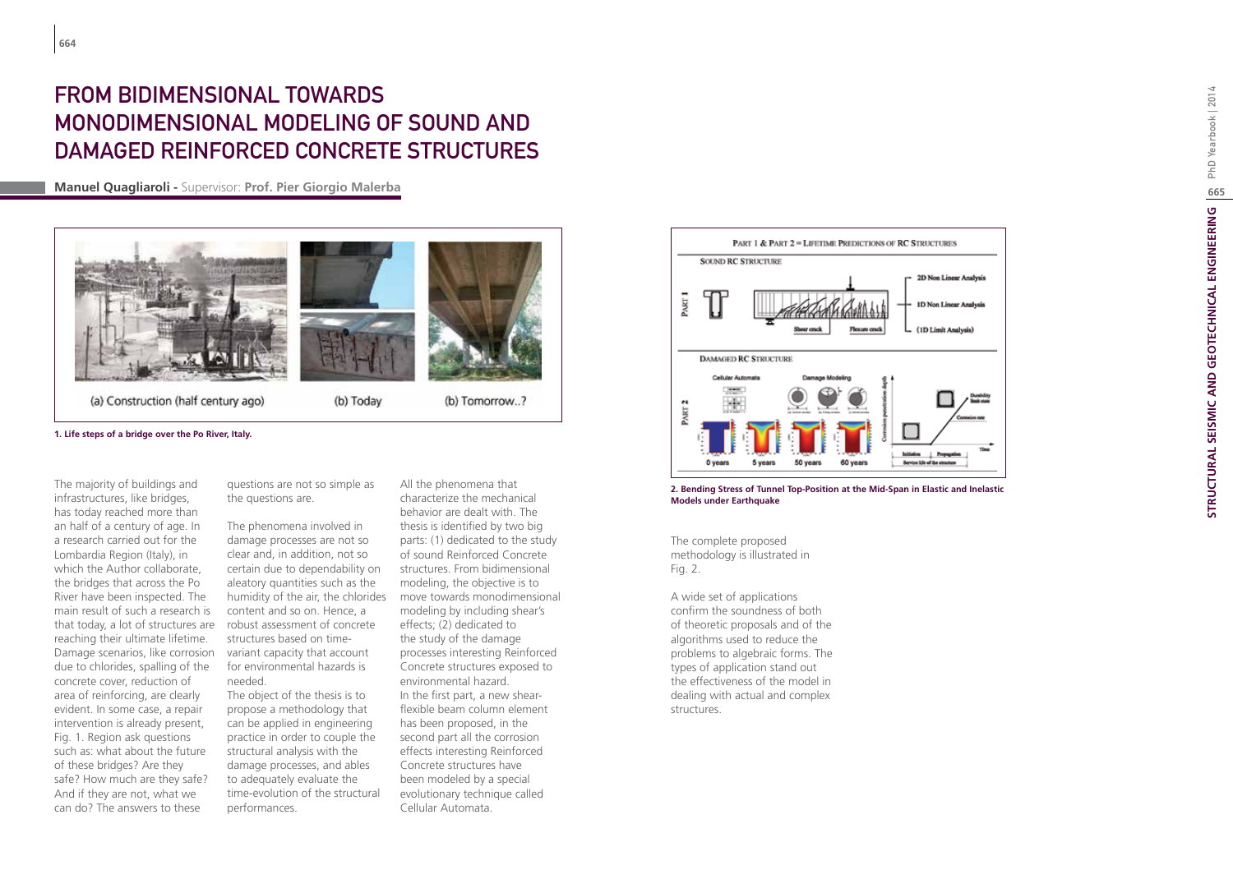# From Bidimensional towards Monodimensional Modeling of Sound and Damaged Reinforced Concrete Structures

**Manuel Quagliaroli -** Supervisor: **Prof. Pier Giorgio Malerba**



**1. Life steps of a bridge over the Po River, Italy.**

The majority of buildings and infrastructures, like bridges, has today reached more than an half of a century of age. In a research carried out for the Lombardia Region (Italy), in which the Author collaborate, the bridges that across the Po River have been inspected. The main result of such a research is that today, a lot of structures are reaching their ultimate lifetime. Damage scenarios, like corrosion due to chlorides, spalling of the concrete cover, reduction of area of reinforcing, are clearly evident. In some case, a repair intervention is already present, Fig. 1. Region ask questions such as: what about the future of these bridges? Are they safe? How much are they safe? And if they are not, what we can do? The answers to these

questions are not so simple as the questions are.

The phenomena involved in damage processes are not so clear and, in addition, not so certain due to dependability on aleatory quantities such as the humidity of the air, the chlorides content and so on. Hence, a robust assessment of concrete structures based on timevariant capacity that account for environmental hazards is needed.

The object of the thesis is to propose a methodology that can be applied in engineering practice in order to couple the structural analysis with the damage processes, and ables to adequately evaluate the time-evolution of the structural performances.

All the phenomena that characterize the mechanical behavior are dealt with. The thesis is identified by two big parts: (1) dedicated to the study of sound Reinforced Concrete structures. From bidimensional modeling, the objective is to move towards monodimensional modeling by including shear's effects; (2) dedicated to the study of the damage processes interesting Reinforced Concrete structures exposed to environmental hazard. In the first part, a new shearflexible beam column element has been proposed, in the second part all the corrosion effects interesting Reinforced Concrete structures have been modeled by a special evolutionary technique called Cellular Automata.



#### **2. Bending Stress of Tunnel Top-Position at the Mid-Span in Elastic and Inelastic Models under Earthquake**

The complete proposed methodology is illustrated in Fig. 2.

A wide set of applications confirm the soundness of both of theoretic proposals and of the algorithms used to reduce the problems to algebraic forms. The types of application stand out the effectiveness of the model in dealing with actual and complex structures.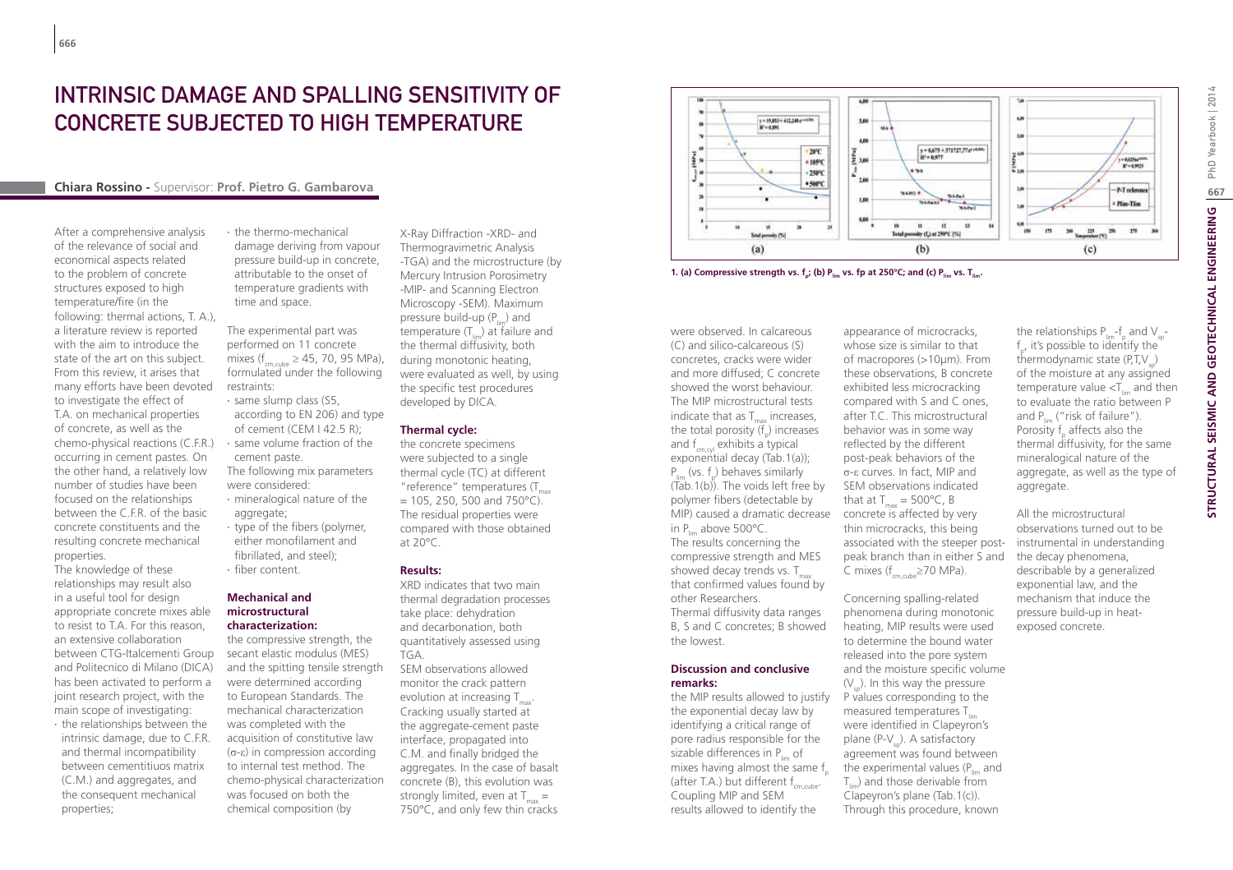# Intrinsic damage and spalling sensitivity of concrete subjected to high temperature

## **Chiara Rossino -** Supervisor: **Prof. Pietro G. Gambarova**

After a comprehensive analysis of the relevance of social and economical aspects related to the problem of concrete structures exposed to high temperature/fire (in the following: thermal actions, T. A.), a literature review is reported with the aim to introduce the state of the art on this subject. From this review, it arises that many efforts have been devoted to investigate the effect of T.A. on mechanical properties of concrete, as well as the chemo-physical reactions (C.F.R.) occurring in cement pastes. On the other hand, a relatively low number of studies have been focused on the relationships between the C.F.R. of the basic concrete constituents and the resulting concrete mechanical properties.

The knowledge of these relationships may result also in a useful tool for design appropriate concrete mixes able to resist to T.A. For this reason, an extensive collaboration between CTG-Italcementi Group and Politecnico di Milano (DICA) has been activated to perform a joint research project, with the main scope of investigating:

∙ the relationships between the intrinsic damage, due to C.F.R. and thermal incompatibility between cementitiuos matrix (C.M.) and aggregates, and the consequent mechanical properties;

∙ the thermo-mechanical damage deriving from vapour pressure build-up in concrete, attributable to the onset of temperature gradients with time and space.

The experimental part was performed on 11 concrete mixes (f<sub>cm,cube</sub>  $\geq$  45, 70, 95 MPa), formulated under the following restraints:

∙ same slump class (S5, according to EN 206) and type of cement (CEM I 42.5 R); ∙ same volume fraction of the cement paste. The following mix parameters

were considered: ∙ mineralogical nature of the aggregate;

∙ type of the fibers (polymer, either monofilament and fibrillated, and steel); ∙ fiber content.

## **Mechanical and microstructural characterization:**

the compressive strength, the secant elastic modulus (MES) and the spitting tensile strength were determined according to European Standards. The mechanical characterization was completed with the acquisition of constitutive law (σ-ε) in compression according to internal test method. The chemo-physical characterization was focused on both the chemical composition (by

X-Ray Diffraction -XRD- and Thermogravimetric Analysis -TGA) and the microstructure (by Mercury Intrusion Porosimetry -MIP- and Scanning Electron Microscopy -SEM). Maximum pressure build-up  $(P_{\mu})$  and temperature  $(T_{\text{lim}})$  at failure and the thermal diffusivity, both during monotonic heating, were evaluated as well, by using the specific test procedures developed by DICA.

#### **Thermal cycle:**

the concrete specimens were subjected to a single thermal cycle (TC) at different  $"$ reference $"$  temperatures (T  $= 105, 250, 500$  and 750°C). The residual properties were compared with those obtained at 20°C.

#### **Results:**

XRD indicates that two main thermal degradation processes take place: dehydration and decarbonation, both quantitatively assessed using TGA.

SEM observations allowed monitor the crack pattern evolution at increasing  $T_{\text{max}}$ . Cracking usually started at the aggregate-cement paste interface, propagated into C.M. and finally bridged the aggregates. In the case of basalt concrete (B), this evolution was strongly limited, even at  $T_{\text{max}} =$ 750°C, and only few thin cracks



**1. (a) Compressive strength vs. f<sub>a</sub>; (b) P<sub>lim</sub> vs. fp at 250°C; and (c) P<sub>lim</sub> vs. T<sub>lim</sub>.** 

were observed. In calcareous (C) and silico-calcareous (S) concretes, cracks were wider and more diffused; C concrete showed the worst behaviour. The MIP microstructural tests indicate that as  $T_{\text{max}}$  increases, the total porosity  $(f_p)$  increases and  $f_{cm,ol}$  exhibits a typical exponential decay (Tab.1(a));  $P_{\text{lim}}$  (vs.  $f_p$ ) behaves similarly  $(Tab.1(b))$ . The voids left free by polymer fibers (detectable by MIP) caused a dramatic decrease concrete is affected by very in  $P_{\text{lim}}$  above 500 $^{\circ}$ C. The results concerning the compressive strength and MES showed decay trends vs.  $T_{\text{max}}$ that confirmed values found by other Researchers. Thermal diffusivity data ranges B, S and C concretes; B showed the lowest.

#### **Discussion and conclusive remarks:**

the MIP results allowed to justify the exponential decay law by identifying a critical range of pore radius responsible for the sizable differences in  $P_{\text{in}}$  of mixes having almost the same  $f_{n}$ (after T.A.) but different  $f_{cm, cube}$ . Coupling MIP and SEM results allowed to identify the

appearance of microcracks, whose size is similar to that of macropores (>10um). From these observations, B concrete exhibited less microcracking compared with S and C ones, after T.C. This microstructural behavior was in some way reflected by the different post-peak behaviors of the σ-ε curves. In fact, MIP and SEM observations indicated that at  $T_{\text{max}} = 500^{\circ}$ C, B thin microcracks, this being associated with the steeper postpeak branch than in either S and C mixes ( $f_{cm,cube} \ge 70$  MPa).

Concerning spalling-related phenomena during monotonic heating, MIP results were used to determine the bound water released into the pore system and the moisture specific volume  $(V_{n})$ . In this way the pressure P values corresponding to the measured temperatures  $T_{\text{lim}}$ were identified in Clapeyron's plane  $(P-V_a)$ . A satisfactory agreement was found between the experimental values  $(P_{\text{max}})$  and  $T_{\text{m}}$ ) and those derivable from Clapeyron's plane (Tab.1(c)). Through this procedure, known

All the microstructural observations turned out to be instrumental in understanding the decay phenomena, describable by a generalized exponential law, and the mechanism that induce the pressure build-up in heatexposed concrete.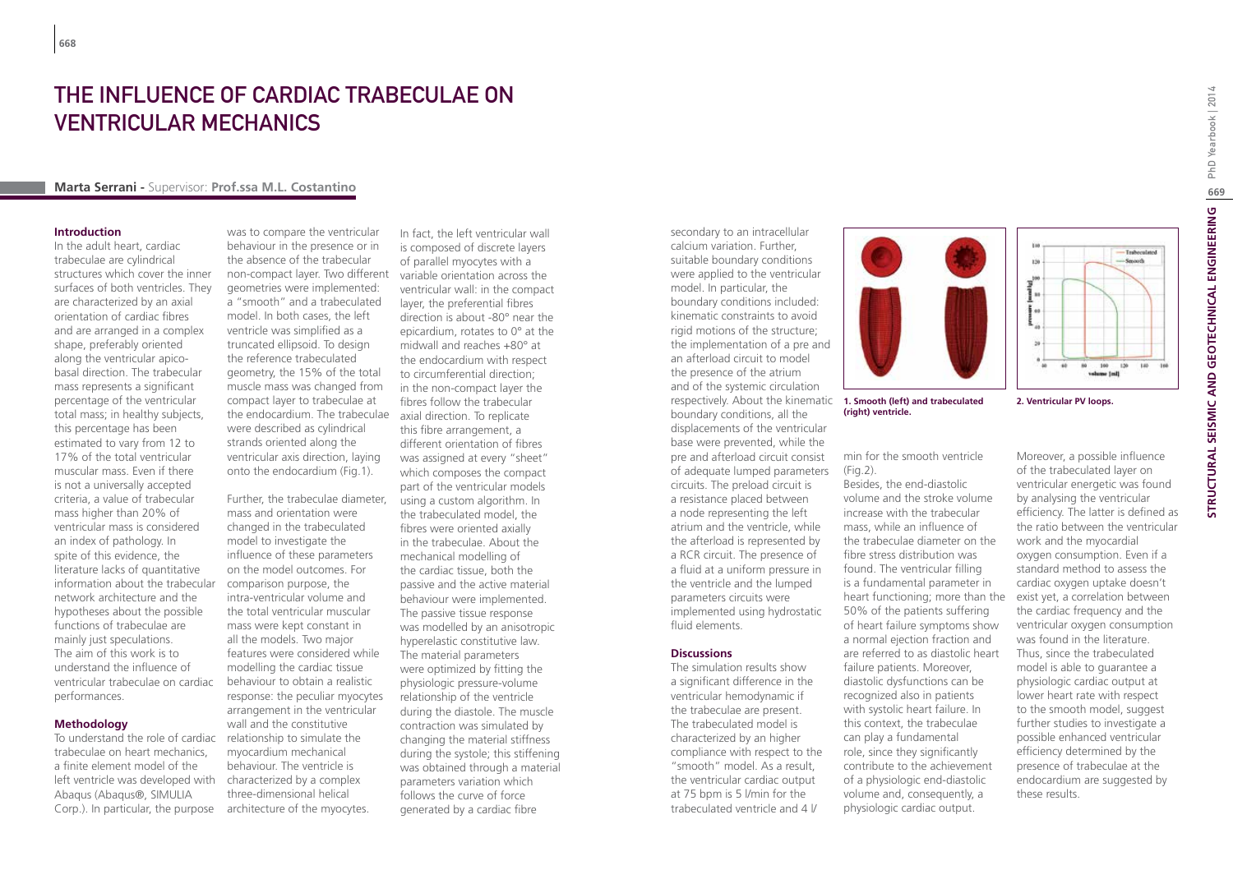# THE INFI UFNCE OF CARDIAC TRABECULAE ON ventricular mechanics

## **Marta Serrani -** Supervisor: **Prof.ssa M.L. Costantino**

#### **Introduction**

In the adult heart, cardiac trabeculae are cylindrical structures which cover the inner surfaces of both ventricles. They are characterized by an axial orientation of cardiac fibres and are arranged in a complex shape, preferably oriented along the ventricular apicobasal direction. The trabecular mass represents a significant percentage of the ventricular total mass; in healthy subjects, this percentage has been estimated to vary from 12 to 17% of the total ventricular muscular mass. Even if there is not a universally accepted criteria, a value of trabecular mass higher than 20% of ventricular mass is considered an index of pathology. In spite of this evidence, the literature lacks of quantitative information about the trabecular network architecture and the hypotheses about the possible functions of trabeculae are mainly just speculations. The aim of this work is to understand the influence of ventricular trabeculae on cardiac performances.

## **Methodology**

To understand the role of cardiac trabeculae on heart mechanics, a finite element model of the left ventricle was developed with Abaqus (Abaqus®, SIMULIA Corp.). In particular, the purpose

was to compare the ventricular behaviour in the presence or in the absence of the trabecular non-compact layer. Two different variable orientation across the geometries were implemented: a "smooth" and a trabeculated model. In both cases, the left ventricle was simplified as a truncated ellipsoid. To design the reference trabeculated geometry, the 15% of the total muscle mass was changed from compact layer to trabeculae at the endocardium. The trabeculae were described as cylindrical strands oriented along the ventricular axis direction, laying onto the endocardium (Fig.1).

Further, the trabeculae diameter, mass and orientation were changed in the trabeculated model to investigate the influence of these parameters on the model outcomes. For comparison purpose, the intra-ventricular volume and the total ventricular muscular mass were kept constant in all the models. Two major features were considered while modelling the cardiac tissue behaviour to obtain a realistic response: the peculiar myocytes arrangement in the ventricular wall and the constitutive relationship to simulate the myocardium mechanical behaviour. The ventricle is characterized by a complex three-dimensional helical architecture of the myocytes.

In fact, the left ventricular wall is composed of discrete layers of parallel myocytes with a ventricular wall: in the compact layer, the preferential fibres direction is about -80° near the epicardium, rotates to 0° at the midwall and reaches +80° at the endocardium with respect to circumferential direction; in the non-compact layer the fibres follow the trabecular axial direction. To replicate this fibre arrangement, a different orientation of fibres was assigned at every "sheet" which composes the compact part of the ventricular models using a custom algorithm. In the trabeculated model, the fibres were oriented axially in the trabeculae. About the mechanical modelling of the cardiac tissue, both the passive and the active material behaviour were implemented. The passive tissue response was modelled by an anisotropic hyperelastic constitutive law. The material parameters were optimized by fitting the physiologic pressure-volume relationship of the ventricle during the diastole. The muscle contraction was simulated by changing the material stiffness during the systole; this stiffening was obtained through a material parameters variation which follows the curve of force generated by a cardiac fibre

secondary to an intracellular calcium variation. Further, suitable boundary conditions were applied to the ventricular model. In particular, the boundary conditions included: kinematic constraints to avoid rigid motions of the structure; the implementation of a pre and an afterload circuit to model the presence of the atrium and of the systemic circulation respectively. About the kinematic **1. Smooth (left) and trabeculated <b>2. Ventricular PV loops.** boundary conditions, all the displacements of the ventricular base were prevented, while the pre and afterload circuit consist of adequate lumped parameters circuits. The preload circuit is a resistance placed between a node representing the left atrium and the ventricle, while the afterload is represented by a RCR circuit. The presence of a fluid at a uniform pressure in the ventricle and the lumped parameters circuits were implemented using hydrostatic fluid elements.

#### **Discussions**

The simulation results show a significant difference in the ventricular hemodynamic if the trabeculae are present. The trabeculated model is characterized by an higher compliance with respect to the "smooth" model. As a result, the ventricular cardiac output at 75 bpm is 5 l/min for the trabeculated ventricle and 4 l/



**(right) ventricle.**

min for the smooth ventricle (Fig.2).

Besides, the end-diastolic volume and the stroke volume increase with the trabecular mass, while an influence of the trabeculae diameter on the fibre stress distribution was found. The ventricular filling is a fundamental parameter in heart functioning; more than the 50% of the patients suffering of heart failure symptoms show a normal ejection fraction and are referred to as diastolic heart failure patients. Moreover, diastolic dysfunctions can be recognized also in patients with systolic heart failure. In this context, the trabeculae can play a fundamental role, since they significantly contribute to the achievement of a physiologic end-diastolic volume and, consequently, a physiologic cardiac output.

100 120

**Industry India** 

 $120$ 

 $\begin{array}{c} \mathbf{1}_{\mathbf{1}} \\ \mathbf{1}_{\mathbf{1}} \\ \mathbf{1}_{\mathbf{1}} \end{array}$  $\frac{1}{2}$  as

Moreover, a possible influence of the trabeculated layer on ventricular energetic was found by analysing the ventricular efficiency. The latter is defined as the ratio between the ventricular work and the myocardial oxygen consumption. Even if a standard method to assess the cardiac oxygen uptake doesn't exist yet, a correlation between the cardiac frequency and the ventricular oxygen consumption was found in the literature. Thus, since the trabeculated model is able to guarantee a physiologic cardiac output at lower heart rate with respect to the smooth model, suggest further studies to investigate a possible enhanced ventricular efficiency determined by the presence of trabeculae at the endocardium are suggested by these results.

Traboculated

 $\overline{100}$ 

**Regional**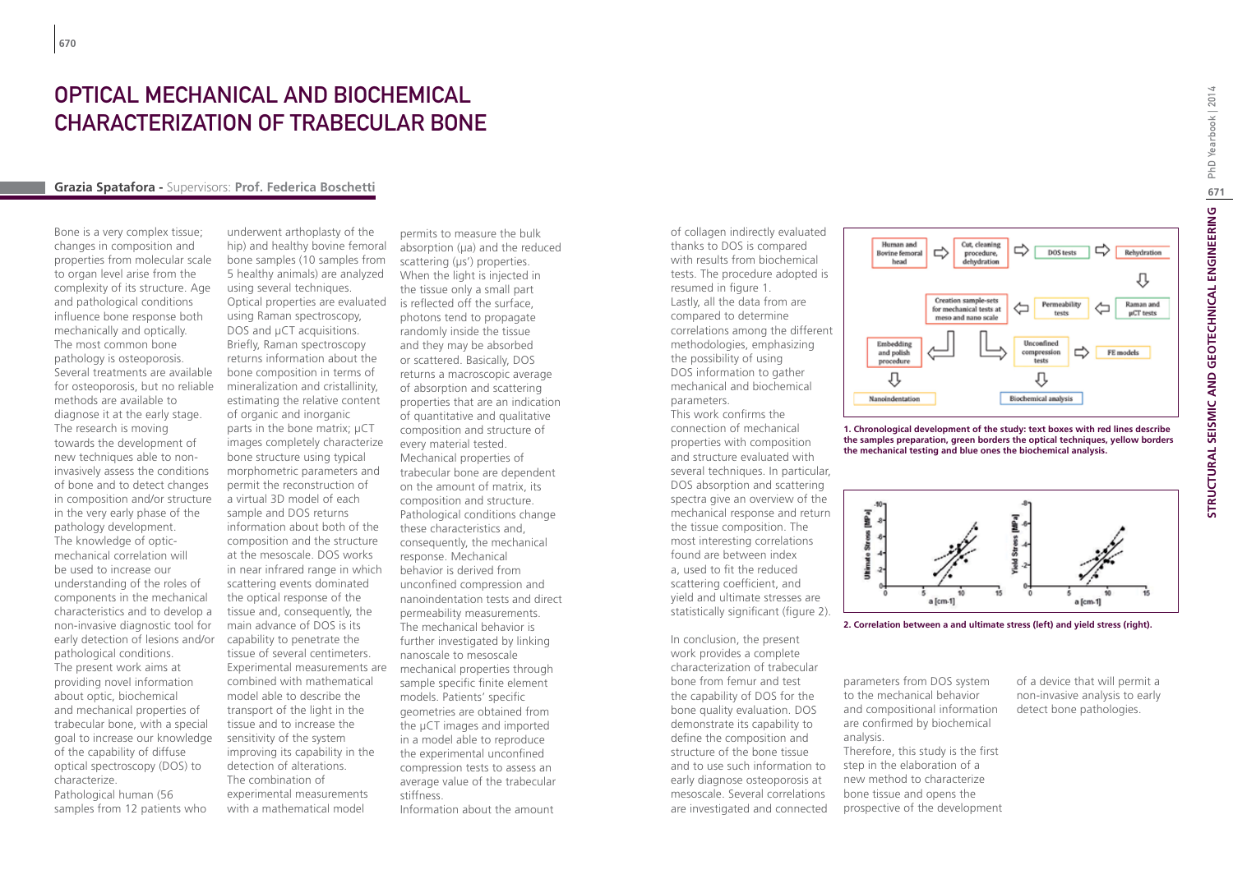## Optical Mechanical and Biochemical characterization of trabecular bone

#### **Grazia Spatafora -** Supervisors: **Prof. Federica Boschetti**

Bone is a very complex tissue; changes in composition and properties from molecular scale to organ level arise from the complexity of its structure. Age and pathological conditions influence bone response both mechanically and optically. The most common bone pathology is osteoporosis. Several treatments are available for osteoporosis, but no reliable methods are available to diagnose it at the early stage. The research is moving towards the development of new techniques able to noninvasively assess the conditions of bone and to detect changes in composition and/or structure in the very early phase of the pathology development. The knowledge of opticmechanical correlation will be used to increase our understanding of the roles of components in the mechanical characteristics and to develop a non-invasive diagnostic tool for early detection of lesions and/or pathological conditions. The present work aims at providing novel information about optic, biochemical and mechanical properties of trabecular bone, with a special goal to increase our knowledge of the capability of diffuse optical spectroscopy (DOS) to characterize. Pathological human (56 samples from 12 patients who

underwent arthoplasty of the hip) and healthy bovine femoral bone samples (10 samples from 5 healthy animals) are analyzed using several techniques. Optical properties are evaluated using Raman spectroscopy, DOS and µCT acquisitions. Briefly, Raman spectroscopy returns information about the bone composition in terms of mineralization and cristallinity, estimating the relative content of organic and inorganic parts in the bone matrix; μCT images completely characterize bone structure using typical morphometric parameters and permit the reconstruction of a virtual 3D model of each sample and DOS returns information about both of the composition and the structure at the mesoscale. DOS works in near infrared range in which scattering events dominated the optical response of the tissue and, consequently, the main advance of DOS is its capability to penetrate the tissue of several centimeters. Experimental measurements are combined with mathematical model able to describe the transport of the light in the tissue and to increase the sensitivity of the system improving its capability in the detection of alterations. The combination of experimental measurements with a mathematical model

permits to measure the bulk absorption  $(\mu a)$  and the reduced scattering (µs') properties. When the light is injected in the tissue only a small part is reflected off the surface, photons tend to propagate randomly inside the tissue and they may be absorbed or scattered. Basically, DOS returns a macroscopic average of absorption and scattering properties that are an indication of quantitative and qualitative composition and structure of every material tested. Mechanical properties of trabecular bone are dependent on the amount of matrix, its composition and structure. Pathological conditions change these characteristics and, consequently, the mechanical response. Mechanical behavior is derived from unconfined compression and nanoindentation tests and direct permeability measurements. The mechanical behavior is further investigated by linking nanoscale to mesoscale mechanical properties through sample specific finite element models. Patients' specific geometries are obtained from the µCT images and imported in a model able to reproduce the experimental unconfined compression tests to assess an average value of the trabecular stiffness.

Information about the amount

of collagen indirectly evaluated thanks to DOS is compared with results from biochemical tests. The procedure adopted is resumed in figure 1. Lastly, all the data from are compared to determine correlations among the different methodologies, emphasizing the possibility of using DOS information to gather mechanical and biochemical parameters.

This work confirms the connection of mechanical properties with composition and structure evaluated with several techniques. In particular, DOS absorption and scattering spectra give an overview of the mechanical response and return the tissue composition. The most interesting correlations found are between index a, used to fit the reduced scattering coefficient, and yield and ultimate stresses are statistically significant (figure 2).

In conclusion, the present work provides a complete characterization of trabecular bone from femur and test the capability of DOS for the bone quality evaluation. DOS demonstrate its capability to define the composition and structure of the bone tissue and to use such information to early diagnose osteoporosis at mesoscale. Several correlations are investigated and connected



**1. Chronological development of the study: text boxes with red lines describe the samples preparation, green borders the optical techniques, yellow borders the mechanical testing and blue ones the biochemical analysis.**





parameters from DOS system to the mechanical behavior detect bone pathologies.

and compositional information are confirmed by biochemical analysis. Therefore, this study is the first step in the elaboration of a new method to characterize

bone tissue and opens the prospective of the development of a device that will permit a non-invasive analysis to early